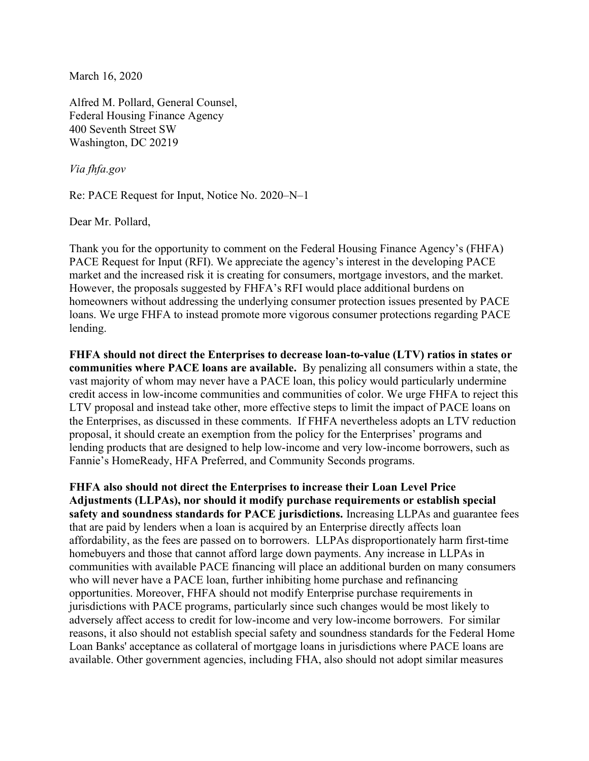March 16, 2020

Alfred M. Pollard, General Counsel, Federal Housing Finance Agency 400 Seventh Street SW Washington, DC 20219

Via fhfa.gov

Re: PACE Request for Input, Notice No. 2020–N–1

Dear Mr. Pollard,

Thank you for the opportunity to comment on the Federal Housing Finance Agency's (FHFA) PACE Request for Input (RFI). We appreciate the agency's interest in the developing PACE market and the increased risk it is creating for consumers, mortgage investors, and the market. However, the proposals suggested by FHFA's RFI would place additional burdens on homeowners without addressing the underlying consumer protection issues presented by PACE loans. We urge FHFA to instead promote more vigorous consumer protections regarding PACE lending.

FHFA should not direct the Enterprises to decrease loan-to-value (LTV) ratios in states or communities where PACE loans are available. By penalizing all consumers within a state, the vast majority of whom may never have a PACE loan, this policy would particularly undermine credit access in low-income communities and communities of color. We urge FHFA to reject this LTV proposal and instead take other, more effective steps to limit the impact of PACE loans on the Enterprises, as discussed in these comments. If FHFA nevertheless adopts an LTV reduction proposal, it should create an exemption from the policy for the Enterprises' programs and lending products that are designed to help low-income and very low-income borrowers, such as Fannie's HomeReady, HFA Preferred, and Community Seconds programs.

FHFA also should not direct the Enterprises to increase their Loan Level Price Adjustments (LLPAs), nor should it modify purchase requirements or establish special safety and soundness standards for PACE jurisdictions. Increasing LLPAs and guarantee fees that are paid by lenders when a loan is acquired by an Enterprise directly affects loan affordability, as the fees are passed on to borrowers. LLPAs disproportionately harm first-time homebuyers and those that cannot afford large down payments. Any increase in LLPAs in communities with available PACE financing will place an additional burden on many consumers who will never have a PACE loan, further inhibiting home purchase and refinancing opportunities. Moreover, FHFA should not modify Enterprise purchase requirements in jurisdictions with PACE programs, particularly since such changes would be most likely to adversely affect access to credit for low-income and very low-income borrowers. For similar reasons, it also should not establish special safety and soundness standards for the Federal Home Loan Banks' acceptance as collateral of mortgage loans in jurisdictions where PACE loans are available. Other government agencies, including FHA, also should not adopt similar measures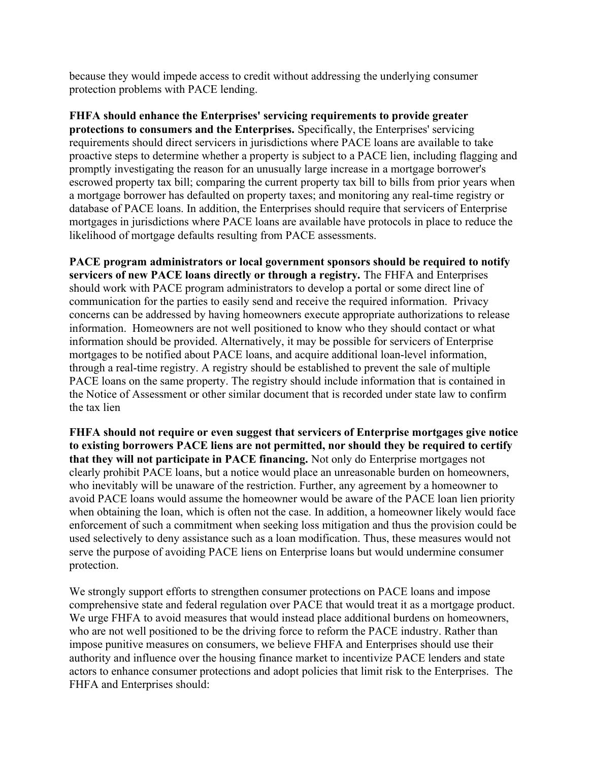because they would impede access to credit without addressing the underlying consumer protection problems with PACE lending.

FHFA should enhance the Enterprises' servicing requirements to provide greater protections to consumers and the Enterprises. Specifically, the Enterprises' servicing requirements should direct servicers in jurisdictions where PACE loans are available to take proactive steps to determine whether a property is subject to a PACE lien, including flagging and promptly investigating the reason for an unusually large increase in a mortgage borrower's escrowed property tax bill; comparing the current property tax bill to bills from prior years when a mortgage borrower has defaulted on property taxes; and monitoring any real-time registry or database of PACE loans. In addition, the Enterprises should require that servicers of Enterprise mortgages in jurisdictions where PACE loans are available have protocols in place to reduce the likelihood of mortgage defaults resulting from PACE assessments.

PACE program administrators or local government sponsors should be required to notify servicers of new PACE loans directly or through a registry. The FHFA and Enterprises should work with PACE program administrators to develop a portal or some direct line of communication for the parties to easily send and receive the required information. Privacy concerns can be addressed by having homeowners execute appropriate authorizations to release information. Homeowners are not well positioned to know who they should contact or what information should be provided. Alternatively, it may be possible for servicers of Enterprise mortgages to be notified about PACE loans, and acquire additional loan-level information, through a real-time registry. A registry should be established to prevent the sale of multiple PACE loans on the same property. The registry should include information that is contained in the Notice of Assessment or other similar document that is recorded under state law to confirm the tax lien

FHFA should not require or even suggest that servicers of Enterprise mortgages give notice to existing borrowers PACE liens are not permitted, nor should they be required to certify that they will not participate in PACE financing. Not only do Enterprise mortgages not clearly prohibit PACE loans, but a notice would place an unreasonable burden on homeowners, who inevitably will be unaware of the restriction. Further, any agreement by a homeowner to avoid PACE loans would assume the homeowner would be aware of the PACE loan lien priority when obtaining the loan, which is often not the case. In addition, a homeowner likely would face enforcement of such a commitment when seeking loss mitigation and thus the provision could be used selectively to deny assistance such as a loan modification. Thus, these measures would not serve the purpose of avoiding PACE liens on Enterprise loans but would undermine consumer protection.

We strongly support efforts to strengthen consumer protections on PACE loans and impose comprehensive state and federal regulation over PACE that would treat it as a mortgage product. We urge FHFA to avoid measures that would instead place additional burdens on homeowners, who are not well positioned to be the driving force to reform the PACE industry. Rather than impose punitive measures on consumers, we believe FHFA and Enterprises should use their authority and influence over the housing finance market to incentivize PACE lenders and state actors to enhance consumer protections and adopt policies that limit risk to the Enterprises. The FHFA and Enterprises should: